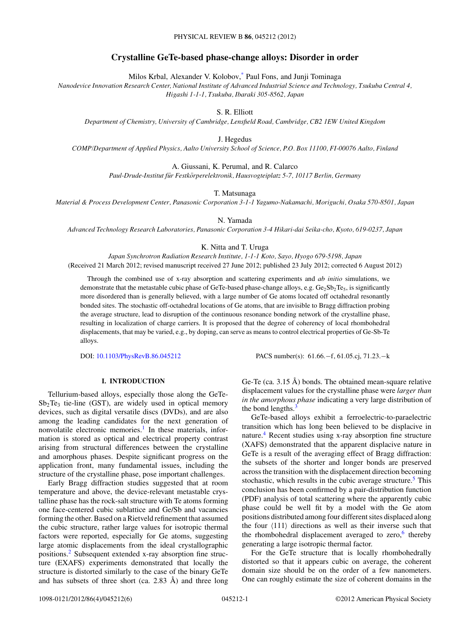### PHYSICAL REVIEW B **86**, 045212 (2012)

# **Crystalline GeTe-based phase-change alloys: Disorder in order**

Milos Krbal, Alexander V. Kolobov,[\\*](#page-5-0) Paul Fons, and Junji Tominaga

*Nanodevice Innovation Research Center, National Institute of Advanced Industrial Science and Technology, Tsukuba Central 4, Higashi 1-1-1, Tsukuba, Ibaraki 305-8562, Japan*

S. R. Elliott

*Department of Chemistry, University of Cambridge, Lensfield Road, Cambridge, CB2 1EW United Kingdom*

J. Hegedus

*COMP/Department of Applied Physics, Aalto University School of Science, P.O. Box 11100, FI-00076 Aalto, Finland*

A. Giussani, K. Perumal, and R. Calarco

*Paul-Drude-Institut fur Festk ¨ orperelektronik, Hausvogteiplatz 5-7, 10117 Berlin, Germany ¨*

T. Matsunaga

*Material & Process Development Center, Panasonic Corporation 3-1-1 Yagumo-Nakamachi, Moriguchi, Osaka 570-8501, Japan*

N. Yamada

*Advanced Technology Research Laboratories, Panasonic Corporation 3-4 Hikari-dai Seika-cho, Kyoto, 619-0237, Japan*

## K. Nitta and T. Uruga

*Japan Synchrotron Radiation Research Institute, 1-1-1 Koto, Sayo, Hyogo 679-5198, Japan* (Received 21 March 2012; revised manuscript received 27 June 2012; published 23 July 2012; corrected 6 August 2012)

Through the combined use of x-ray absorption and scattering experiments and *ab initio* simulations, we demonstrate that the metastable cubic phase of GeTe-based phase-change alloys, e.g.  $Ge_2Sb_2Te_5$ , is significantly more disordered than is generally believed, with a large number of Ge atoms located off octahedral resonantly bonded sites. The stochastic off-octahedral locations of Ge atoms, that are invisible to Bragg diffraction probing the average structure, lead to disruption of the continuous resonance bonding network of the crystalline phase, resulting in localization of charge carriers. It is proposed that the degree of coherency of local rhombohedral displacements, that may be varied, e.g., by doping, can serve as means to control electrical properties of Ge-Sb-Te alloys.

DOI: [10.1103/PhysRevB.86.045212](http://dx.doi.org/10.1103/PhysRevB.86.045212) PACS number(s): 61*.*66*.*−f, 61*.*05*.*cj, 71*.*23*.*−k

# **I. INTRODUCTION**

Tellurium-based alloys, especially those along the GeTe- $Sb<sub>2</sub>Te<sub>3</sub>$  tie-line (GST), are widely used in optical memory devices, such as digital versatile discs (DVDs), and are also among the leading candidates for the next generation of nonvolatile electronic memories.<sup>[1](#page-5-0)</sup> In these materials, information is stored as optical and electrical property contrast arising from structural differences between the crystalline and amorphous phases. Despite significant progress on the application front, many fundamental issues, including the structure of the crystalline phase, pose important challenges.

Early Bragg diffraction studies suggested that at room temperature and above, the device-relevant metastable crystalline phase has the rock-salt structure with Te atoms forming one face-centered cubic sublattice and Ge/Sb and vacancies forming the other. Based on a Rietveld refinement that assumed the cubic structure, rather large values for isotropic thermal factors were reported, especially for Ge atoms, suggesting large atomic displacements from the ideal crystallographic positions[.2](#page-5-0) Subsequent extended x-ray absorption fine structure (EXAFS) experiments demonstrated that locally the structure is distorted similarly to the case of the binary GeTe and has subsets of three short (ca.  $2.83 \text{ Å}$ ) and three long

Ge-Te (ca.  $3.15 \text{ Å}$ ) bonds. The obtained mean-square relative displacement values for the crystalline phase were *larger than in the amorphous phase* indicating a very large distribution of the bond lengths. $3$ 

GeTe-based alloys exhibit a ferroelectric-to-paraelectric transition which has long been believed to be displacive in nature.[4](#page-5-0) Recent studies using x-ray absorption fine structure (XAFS) demonstrated that the apparent displacive nature in GeTe is a result of the averaging effect of Bragg diffraction: the subsets of the shorter and longer bonds are preserved across the transition with the displacement direction becoming stochastic, which results in the cubic average structure.<sup>[5](#page-5-0)</sup> This conclusion has been confirmed by a pair-distribution function (PDF) analysis of total scattering where the apparently cubic phase could be well fit by a model with the Ge atom positions distributed among four different sites displaced along the four  $\langle 111 \rangle$  directions as well as their inverse such that the rhombohedral displacement averaged to zero, $6$  thereby generating a large isotropic thermal factor.

For the GeTe structure that is locally rhombohedrally distorted so that it appears cubic on average, the coherent domain size should be on the order of a few nanometers. One can roughly estimate the size of coherent domains in the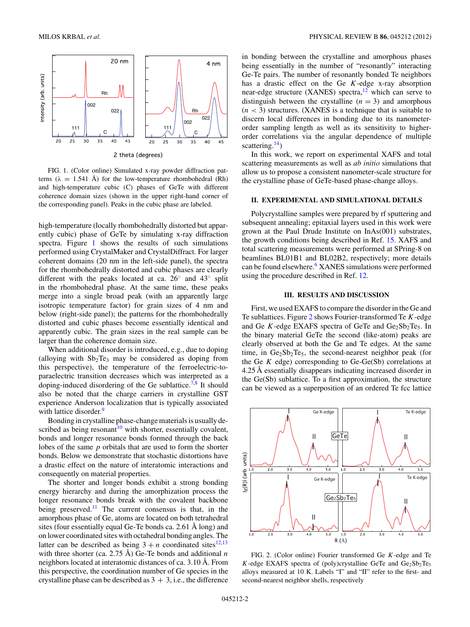<span id="page-1-0"></span>

2 theta (degrees)

FIG. 1. (Color online) Simulated x-ray powder diffraction patterns  $(\lambda = 1.541 \text{ Å})$  for the low-temperature rhombohedral (Rh) and high-temperature cubic (C) phases of GeTe with different coherence domain sizes (shown in the upper right-hand corner of the corresponding panel). Peaks in the cubic phase are labeled.

high-temperature (locally rhombohedrally distorted but apparently cubic) phase of GeTe by simulating x-ray diffraction spectra. Figure 1 shows the results of such simulations performed using CrystalMaker and CrystalDiffract. For larger coherent domains (20 nm in the left-side panel), the spectra for the rhombohedrally distorted and cubic phases are clearly different with the peaks located at ca. 26◦ and 43◦ split in the rhombohedral phase. At the same time, these peaks merge into a single broad peak (with an apparently large isotropic temperature factor) for grain sizes of 4 nm and below (right-side panel); the patterns for the rhombohedrally distorted and cubic phases become essentially identical and apparently cubic. The grain sizes in the real sample can be larger than the coherence domain size.

When additional disorder is introduced, e.g., due to doping (alloying with  $Sb<sub>2</sub>Te<sub>3</sub>$  may be considered as doping from this perspective), the temperature of the ferroelectric-toparaelectric transition decreases which was interpreted as a doping-induced disordering of the Ge sublattice.<sup>[7,8](#page-5-0)</sup> It should also be noted that the charge carriers in crystalline GST experience Anderson localization that is typically associated with lattice disorder.<sup>[9](#page-5-0)</sup>

Bonding in crystalline phase-change materials is usually de-scribed as being resonant<sup>[10](#page-5-0)</sup> with shorter, essentially covalent, bonds and longer resonance bonds formed through the back lobes of the same *p* orbitals that are used to form the shorter bonds. Below we demonstrate that stochastic distortions have a drastic effect on the nature of interatomic interactions and consequently on material properties.

The shorter and longer bonds exhibit a strong bonding energy hierarchy and during the amorphization process the longer resonance bonds break with the covalent backbone being preserved.<sup>[11](#page-5-0)</sup> The current consensus is that, in the amorphous phase of Ge, atoms are located on both tetrahedral sites (four essentially equal Ge-Te bonds ca. 2.61  $\AA$  long) and on lower coordinated sites with octahedral bonding angles. The latter can be described as being  $3 + n$  coordinated sites<sup>12,13</sup> with three shorter (ca. 2.75 Å) Ge-Te bonds and additional  $n$ neighbors located at interatomic distances of ca. 3.10 Å. From this perspective, the coordination number of Ge species in the crystalline phase can be described as  $3 + 3$ , i.e., the difference in bonding between the crystalline and amorphous phases being essentially in the number of "resonantly" interacting Ge-Te pairs. The number of resonantly bonded Te neighbors has a drastic effect on the Ge *K*-edge x-ray absorption near-edge structure (XANES) spectra, $12$  which can serve to distinguish between the crystalline  $(n = 3)$  and amorphous (*n <* 3) structures. (XANES is a technique that is suitable to discern local differences in bonding due to its nanometerorder sampling length as well as its sensitivity to higherorder correlations via the angular dependence of multiple scattering. $^{14}$ )

In this work, we report on experimental XAFS and total scattering measurements as well as *ab initio* simulations that allow us to propose a consistent nanometer-scale structure for the crystalline phase of GeTe-based phase-change alloys.

#### **II. EXPERIMENTAL AND SIMULATIONAL DETAILS**

Polycrystalline samples were prepared by rf sputtering and subsequent annealing; epitaxial layers used in this work were grown at the Paul Drude Institute on InAs(001) substrates, the growth conditions being described in Ref. [15.](#page-5-0) XAFS and total scattering measurements were performed at SPring-8 on beamlines BL01B1 and BL02B2, respectively; more details can be found elsewhere.<sup>[6](#page-5-0)</sup> XANES simulations were performed using the procedure described in Ref. [12.](#page-5-0)

## **III. RESULTS AND DISCUSSION**

First, we used EXAFS to compare the disorder in the Ge and Te sublattices. Figure 2 shows Fourier-transformed Te *K*-edge and Ge  $K$ -edge EXAFS spectra of GeTe and  $Ge_2Sb_2Te_5$ . In the binary material GeTe the second (like-atom) peaks are clearly observed at both the Ge and Te edges. At the same time, in  $Ge_2Sb_2Te_5$ , the second-nearest neighbor peak (for the Ge  $K$  edge) corresponding to Ge-Ge(Sb) correlations at 4.25 Å essentially disappears indicating increased disorder in the Ge(Sb) sublattice. To a first approximation, the structure can be viewed as a superposition of an ordered Te fcc lattice



FIG. 2. (Color online) Fourier transformed Ge *K*-edge and Te  $K$ -edge EXAFS spectra of (poly)crystalline GeTe and  $Ge_2Sb_2Te_5$ alloys measured at 10 K. Labels "I" and "II" refer to the first- and second-nearest neighbor shells, respectively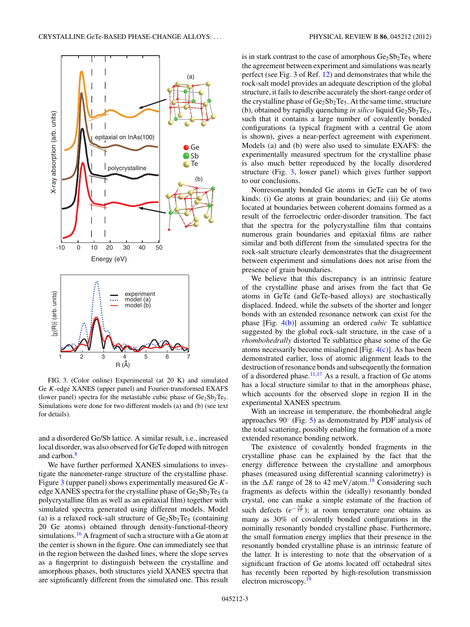

FIG. 3. (Color online) Experimental (at 20 K) and simulated Ge *K*-edge XANES (upper panel) and Fourier-transformed EXAFS (lower panel) spectra for the metastable cubic phase of  $Ge_2Sb_2Te_5$ . Simulations were done for two different models (a) and (b) (see text for details).

and a disordered Ge/Sb lattice. A similar result, i.e., increased local disorder, was also observed for GeTe doped with nitrogen and carbon.<sup>8</sup>

We have further performed XANES simulations to investigate the nanometer-range structure of the crystalline phase. Figure 3 (upper panel) shows experimentally measured Ge *K*edge XANES spectra for the crystalline phase of  $Ge_2Sb_2Te_5$  (a polycrystalline film as well as an epitaxial film) together with simulated spectra generated using different models. Model (a) is a relaxed rock-salt structure of  $Ge_2Sb_2Te_5$  (containing 20 Ge atoms) obtained through density-functional-theory simulations.<sup>16</sup> A fragment of such a structure with a Ge atom at the center is shown in the figure. One can immediately see that in the region between the dashed lines, where the slope serves as a fingerprint to distinguish between the crystalline and amorphous phases, both structures yield XANES spectra that are significantly different from the simulated one. This result is in stark contrast to the case of amorphous  $Ge_2Sb_2Te_5$  where the agreement between experiment and simulations was nearly perfect (see Fig. 3 of Ref. [12\)](#page-5-0) and demonstrates that while the rock-salt model provides an adequate description of the global structure, it fails to describe accurately the short-range order of the crystalline phase of  $Ge_2Sb_2Te_5$ . At the same time, structure (b), obtained by rapidly quenching *in silico* liquid  $Ge_2Sb_2Te_5$ , such that it contains a large number of covalently bonded configurations (a typical fragment with a central Ge atom is shown), gives a near-perfect agreement with experiment. Models (a) and (b) were also used to simulate EXAFS: the experimentally measured spectrum for the crystalline phase is also much better reproduced by the locally disordered structure (Fig. 3, lower panel) which gives further support to our conclusions.

Nonresonantly bonded Ge atoms in GeTe can be of two kinds: (i) Ge atoms at grain boundaries; and (ii) Ge atoms located at boundaries between coherent domains formed as a result of the ferroelectric order-disorder transition. The fact that the spectra for the polycrystalline film that contains numerous grain boundaries and epitaxial films are rather similar and both different from the simulated spectra for the rock-salt structure clearly demonstrates that the disagreement between experiment and simulations does not arise from the presence of grain boundaries.

We believe that this discrepancy is an intrinsic feature of the crystalline phase and arises from the fact that Ge atoms in GeTe (and GeTe-based alloys) are stochastically displaced. Indeed, while the subsets of the shorter and longer bonds with an extended resonance network can exist for the phase [Fig. [4\(b\)\]](#page-3-0) assuming an ordered *cubic* Te sublattice suggested by the global rock-salt structure, in the case of a *rhombohedrally* distorted Te sublattice phase some of the Ge atoms necessarily become misaligned [Fig. [4\(c\)\]](#page-3-0). As has been demonstrated earlier, loss of atomic alignment leads to the destruction of resonance bonds and subsequently the formation of a disordered phase.<sup>[11,17](#page-5-0)</sup> As a result, a fraction of Ge atoms has a local structure similar to that in the amorphous phase, which accounts for the observed slope in region II in the experimental XANES spectrum.

With an increase in temperature, the rhombohedral angle approaches  $90°$  (Fig. [5\)](#page-3-0) as demonstrated by PDF analysis of the total scattering, possibly enabling the formation of a more extended resonance bonding network.

The existence of covalently bonded fragments in the crystalline phase can be explained by the fact that the energy difference between the crystalline and amorphous phases (measured using differential scanning calorimetry) is in the  $\Delta E$  range of 28 to 42 meV/atom.<sup>[18](#page-5-0)</sup> Considering such fragments as defects within the (ideally) resonantly bonded crystal, one can make a simple estimate of the fraction of such defects  $(e^{-\frac{\Delta E}{kT}})$ ; at room temperature one obtains as many as 30% of covalently bonded configurations in the nominally resonantly bonded crystalline phase. Furthermore, the small formation energy implies that their presence in the resonantly bonded crystalline phase is an intrinsic feature of the latter. It is interesting to note that the observation of a significant fraction of Ge atoms located off octahedral sites has recently been reported by high-resolution transmission electron microscopy.<sup>19</sup>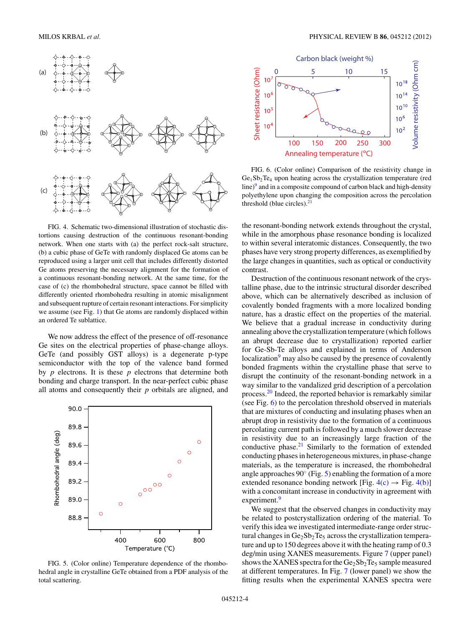<span id="page-3-0"></span>

FIG. 4. Schematic two-dimensional illustration of stochastic distortions causing destruction of the continuous resonant-bonding network. When one starts with (a) the perfect rock-salt structure, (b) a cubic phase of GeTe with randomly displaced Ge atoms can be reproduced using a larger unit cell that includes differently distorted Ge atoms preserving the necessary alignment for the formation of a continuous resonant-bonding network. At the same time, for the case of (c) the rhombohedral structure, space cannot be filled with differently oriented rhombohedra resulting in atomic misalignment and subsequent rupture of certain resonant interactions. For simplicity we assume (see Fig. [1\)](#page-1-0) that Ge atoms are randomly displaced within an ordered Te sublattice.

We now address the effect of the presence of off-resonance Ge sites on the electrical properties of phase-change alloys. GeTe (and possibly GST alloys) is a degenerate p-type semiconductor with the top of the valence band formed by *p* electrons. It is these *p* electrons that determine both bonding and charge transport. In the near-perfect cubic phase all atoms and consequently their *p* orbitals are aligned, and



FIG. 5. (Color online) Temperature dependence of the rhombohedral angle in crystalline GeTe obtained from a PDF analysis of the total scattering.



FIG. 6. (Color online) Comparison of the resistivity change in Ge1Sb2Te4 upon heating across the crystallization temperature (red line) $9$  and in a composite compound of carbon black and high-density polyethylene upon changing the composition across the percolation threshold (blue circles)[.21](#page-5-0)

the resonant-bonding network extends throughout the crystal, while in the amorphous phase resonance bonding is localized to within several interatomic distances. Consequently, the two phases have very strong property differences, as exemplified by the large changes in quantities, such as optical or conductivity contrast.

Destruction of the continuous resonant network of the crystalline phase, due to the intrinsic structural disorder described above, which can be alternatively described as inclusion of covalently bonded fragments with a more localized bonding nature, has a drastic effect on the properties of the material. We believe that a gradual increase in conductivity during annealing above the crystallization temperature (which follows an abrupt decrease due to crystallization) reported earlier for Ge-Sb-Te alloys and explained in terms of Anderson localization<sup>9</sup> may also be caused by the presence of covalently bonded fragments within the crystalline phase that serve to disrupt the continuity of the resonant-bonding network in a way similar to the vandalized grid description of a percolation process[.20](#page-5-0) Indeed, the reported behavior is remarkably similar (see Fig. 6) to the percolation threshold observed in materials that are mixtures of conducting and insulating phases when an abrupt drop in resistivity due to the formation of a continuous percolating current path is followed by a much slower decrease in resistivity due to an increasingly large fraction of the conductive phase. $2<sup>1</sup>$  Similarly to the formation of extended conducting phases in heterogeneous mixtures, in phase-change materials, as the temperature is increased, the rhombohedral angle approaches  $90°$  (Fig. 5) enabling the formation of a more extended resonance bonding network [Fig.  $4(c) \rightarrow$  Fig.  $4(b)$ ] with a concomitant increase in conductivity in agreement with experiment.<sup>[9](#page-5-0)</sup>

We suggest that the observed changes in conductivity may be related to postcrystallization ordering of the material. To verify this idea we investigated intermediate-range order structural changes in  $Ge_2Sb_2Te_5$  across the crystallization temperature and up to 150 degrees above it with the heating ramp of 0.3 deg/min using XANES measurements. Figure [7](#page-4-0) (upper panel) shows the XANES spectra for the  $Ge_2Sb_2Te_5$  sample measured at different temperatures. In Fig. [7](#page-4-0) (lower panel) we show the fitting results when the experimental XANES spectra were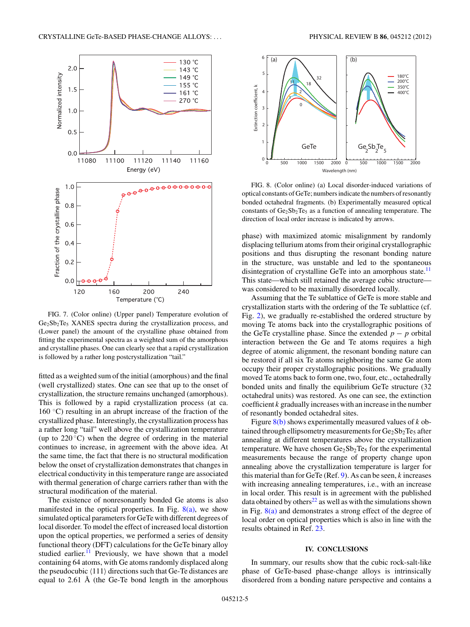<span id="page-4-0"></span>

FIG. 7. (Color online) (Upper panel) Temperature evolution of  $Ge_2Sb_2Te_5$  XANES spectra during the crystallization process, and (Lower panel) the amount of the crystalline phase obtained from fitting the experimental spectra as a weighted sum of the amorphous and crystalline phases. One can clearly see that a rapid crystallization is followed by a rather long postcrystallization "tail."

fitted as a weighted sum of the initial (amorphous) and the final (well crystallized) states. One can see that up to the onset of crystallization, the structure remains unchanged (amorphous). This is followed by a rapid crystallization process (at ca. 160  $\degree$ C) resulting in an abrupt increase of the fraction of the crystallized phase. Interestingly, the crystallization process has a rather long "tail" well above the crystallization temperature (up to  $220\textdegree C$ ) when the degree of ordering in the material continues to increase, in agreement with the above idea. At the same time, the fact that there is no structural modification below the onset of crystallization demonstrates that changes in electrical conductivity in this temperature range are associated with thermal generation of charge carriers rather than with the structural modification of the material.

The existence of nonresonantly bonded Ge atoms is also manifested in the optical properties. In Fig.  $8(a)$ , we show simulated optical parameters for GeTe with different degrees of local disorder. To model the effect of increased local distortion upon the optical properties, we performed a series of density functional theory (DFT) calculations for the GeTe binary alloy studied earlier.<sup>[11](#page-5-0)</sup> Previously, we have shown that a model containing 64 atoms, with Ge atoms randomly displaced along the pseudocubic  $\langle 111 \rangle$  directions such that Ge-Te distances are equal to  $2.61$  Å (the Ge-Te bond length in the amorphous



FIG. 8. (Color online) (a) Local disorder-induced variations of optical constants of GeTe; numbers indicate the numbers of resonantly bonded octahedral fragments. (b) Experimentally measured optical constants of  $Ge_2Sb_2Te_5$  as a function of annealing temperature. The direction of local order increase is indicated by arrows.

phase) with maximized atomic misalignment by randomly displacing tellurium atoms from their original crystallographic positions and thus disrupting the resonant bonding nature in the structure, was unstable and led to the spontaneous disintegration of crystalline GeTe into an amorphous state.<sup>[11](#page-5-0)</sup> This state—which still retained the average cubic structure was considered to be maximally disordered locally.

Assuming that the Te sublattice of GeTe is more stable and crystallization starts with the ordering of the Te sublattice (cf. Fig. [2\)](#page-1-0), we gradually re-established the ordered structure by moving Te atoms back into the crystallographic positions of the GeTe crystalline phase. Since the extended  $p - p$  orbital interaction between the Ge and Te atoms requires a high degree of atomic alignment, the resonant bonding nature can be restored if all six Te atoms neighboring the same Ge atom occupy their proper crystallographic positions. We gradually moved Te atoms back to form one, two, four, etc., octahedrally bonded units and finally the equilibrium GeTe structure (32 octahedral units) was restored. As one can see, the extinction coefficient *k* gradually increases with an increase in the number of resonantly bonded octahedral sites.

Figure 8(b) shows experimentally measured values of *k* obtained through ellipsometry measurements for  $Ge_2Sb_2Te_5$  after annealing at different temperatures above the crystallization temperature. We have chosen  $Ge_2Sb_2Te_5$  for the experimental measurements because the range of property change upon annealing above the crystallization temperature is larger for this material than for GeTe (Ref. [9\)](#page-5-0). As can be seen, *k* increases with increasing annealing temperatures, i.e., with an increase in local order. This result is in agreement with the published data obtained by others $^{22}$  $^{22}$  $^{22}$  as well as with the simulations shown in Fig.  $8(a)$  and demonstrates a strong effect of the degree of local order on optical properties which is also in line with the results obtained in Ref. [23.](#page-5-0)

#### **IV. CONCLUSIONS**

In summary, our results show that the cubic rock-salt-like phase of GeTe-based phase-change alloys is intrinsically disordered from a bonding nature perspective and contains a